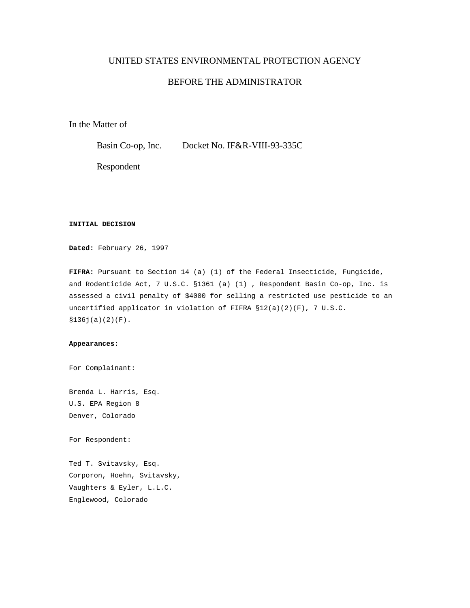## UNITED STATES ENVIRONMENTAL PROTECTION AGENCY

# BEFORE THE ADMINISTRATOR

In the Matter of

Basin Co-op, Inc. Docket No. IF&R-VIII-93-335C

Respondent

### **INITIAL DECISION**

**Dated:** February 26, 1997

**FIFRA:** Pursuant to Section 14 (a) (1) of the Federal Insecticide, Fungicide, and Rodenticide Act, 7 U.S.C. §1361 (a) (1) , Respondent Basin Co-op, Inc. is assessed a civil penalty of \$4000 for selling a restricted use pesticide to an uncertified applicator in violation of FIFRA §12(a)(2)(F), 7 U.S.C. §136j(a)(2)(F).

#### **Appearances**:

For Complainant:

Brenda L. Harris, Esq. U.S. EPA Region 8 Denver, Colorado

For Respondent:

Ted T. Svitavsky, Esq. Corporon, Hoehn, Svitavsky, Vaughters & Eyler, L.L.C. Englewood, Colorado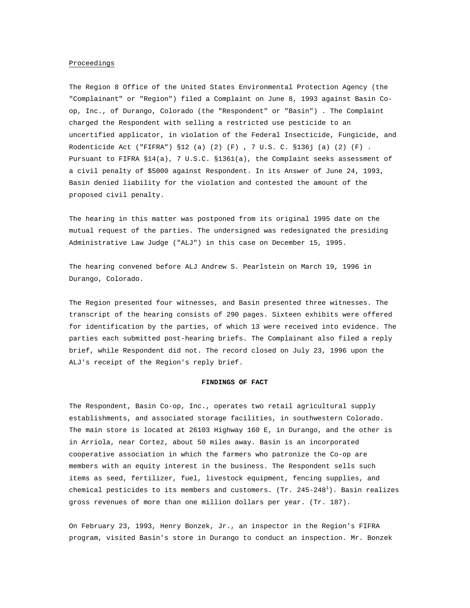#### Proceedings

The Region 8 Office of the United States Environmental Protection Agency (the "Complainant" or "Region") filed a Complaint on June 8, 1993 against Basin Coop, Inc., of Durango, Colorado (the "Respondent" or "Basin") . The Complaint charged the Respondent with selling a restricted use pesticide to an uncertified applicator, in violation of the Federal Insecticide, Fungicide, and Rodenticide Act ("FIFRA") §12 (a) (2) (F) , 7 U.S. C. §136j (a) (2) (F) . Pursuant to FIFRA §14(a), 7 U.S.C. §1361(a), the Complaint seeks assessment of a civil penalty of \$5000 against Respondent. In its Answer of June 24, 1993, Basin denied liability for the violation and contested the amount of the proposed civil penalty.

The hearing in this matter was postponed from its original 1995 date on the mutual request of the parties. The undersigned was redesignated the presiding Administrative Law Judge ("ALJ") in this case on December 15, 1995.

The hearing convened before ALJ Andrew S. Pearlstein on March 19, 1996 in Durango, Colorado.

The Region presented four witnesses, and Basin presented three witnesses. The transcript of the hearing consists of 290 pages. Sixteen exhibits were offered for identification by the parties, of which 13 were received into evidence. The parties each submitted post-hearing briefs. The Complainant also filed a reply brief, while Respondent did not. The record closed on July 23, 1996 upon the ALJ's receipt of the Region's reply brief.

#### **FINDINGS OF FACT**

The Respondent, Basin Co-op, Inc., operates two retail agricultural supply establishments, and associated storage facilities, in southwestern Colorado. The main store is located at 26103 Highway 160 E, in Durango, and the other is in Arriola, near Cortez, about 50 miles away. Basin is an incorporated cooperative association in which the farmers who patronize the Co-op are members with an equity interest in the business. The Respondent sells such items as seed, fertilizer, fuel, livestock equipment, fencing supplies, and chemical pesticides to its members and customers. (Tr. 245-248 $^{\rm l}$ ). Basin realizes gross revenues of more than one million dollars per year. (Tr. 187).

On February 23, 1993, Henry Bonzek, Jr., an inspector in the Region's FIFRA program, visited Basin's store in Durango to conduct an inspection. Mr. Bonzek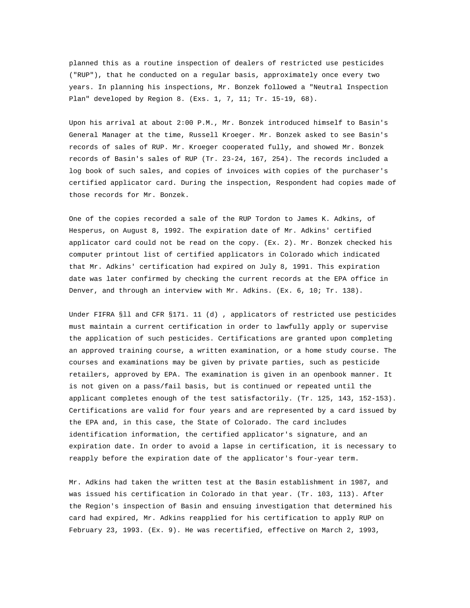planned this as a routine inspection of dealers of restricted use pesticides ("RUP"), that he conducted on a regular basis, approximately once every two years. In planning his inspections, Mr. Bonzek followed a "Neutral Inspection Plan" developed by Region 8. (Exs. 1, 7, 11; Tr. 15-19, 68).

Upon his arrival at about 2:00 P.M., Mr. Bonzek introduced himself to Basin's General Manager at the time, Russell Kroeger. Mr. Bonzek asked to see Basin's records of sales of RUP. Mr. Kroeger cooperated fully, and showed Mr. Bonzek records of Basin's sales of RUP (Tr. 23-24, 167, 254). The records included a log book of such sales, and copies of invoices with copies of the purchaser's certified applicator card. During the inspection, Respondent had copies made of those records for Mr. Bonzek.

One of the copies recorded a sale of the RUP Tordon to James K. Adkins, of Hesperus, on August 8, 1992. The expiration date of Mr. Adkins' certified applicator card could not be read on the copy. (Ex. 2). Mr. Bonzek checked his computer printout list of certified applicators in Colorado which indicated that Mr. Adkins' certification had expired on July 8, 1991. This expiration date was later confirmed by checking the current records at the EPA office in Denver, and through an interview with Mr. Adkins. (Ex. 6, 10; Tr. 138).

Under FIFRA §ll and CFR §171. 11 (d) , applicators of restricted use pesticides must maintain a current certification in order to lawfully apply or supervise the application of such pesticides. Certifications are granted upon completing an approved training course, a written examination, or a home study course. The courses and examinations may be given by private parties, such as pesticide retailers, approved by EPA. The examination is given in an openbook manner. It is not given on a pass/fail basis, but is continued or repeated until the applicant completes enough of the test satisfactorily. (Tr. 125, 143, 152-153). Certifications are valid for four years and are represented by a card issued by the EPA and, in this case, the State of Colorado. The card includes identification information, the certified applicator's signature, and an expiration date. In order to avoid a lapse in certification, it is necessary to reapply before the expiration date of the applicator's four-year term.

Mr. Adkins had taken the written test at the Basin establishment in 1987, and was issued his certification in Colorado in that year. (Tr. 103, 113). After the Region's inspection of Basin and ensuing investigation that determined his card had expired, Mr. Adkins reapplied for his certification to apply RUP on February 23, 1993. (Ex. 9). He was recertified, effective on March 2, 1993,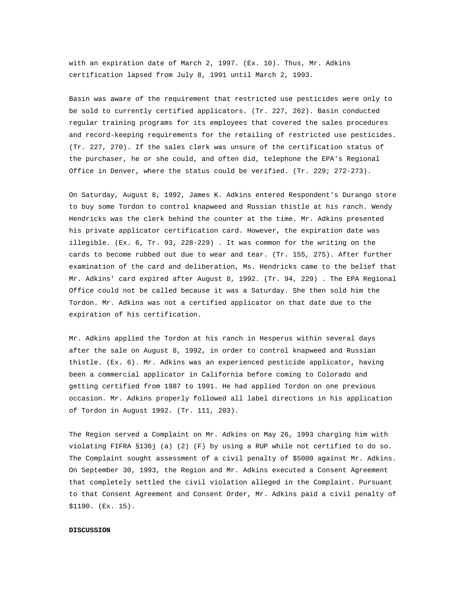with an expiration date of March 2, 1997. (Ex. 10). Thus, Mr. Adkins certification lapsed from July 8, 1991 until March 2, 1993.

Basin was aware of the requirement that restricted use pesticides were only to be sold to currently certified applicators. (Tr. 227, 262). Basin conducted regular training programs for its employees that covered the sales procedures and record-keeping requirements for the retailing of restricted use pesticides. (Tr. 227, 270). If the sales clerk was unsure of the certification status of the purchaser, he or she could, and often did, telephone the EPA's Regional Office in Denver, where the status could be verified. (Tr. 229; 272-273).

On Saturday, August 8, 1992, James K. Adkins entered Respondent's Durango store to buy some Tordon to control knapweed and Russian thistle at his ranch. Wendy Hendricks was the clerk behind the counter at the time. Mr. Adkins presented his private applicator certification card. However, the expiration date was illegible. (Ex. 6, Tr. 93, 228-229) . It was common for the writing on the cards to become rubbed out due to wear and tear. (Tr. 155, 275). After further examination of the card and deliberation, Ms. Hendricks came to the belief that Mr. Adkins' card expired after August 8, 1992. (Tr. 94, 229) . The EPA Regional Office could not be called because it was a Saturday. She then sold him the Tordon. Mr. Adkins was not a certified applicator on that date due to the expiration of his certification.

Mr. Adkins applied the Tordon at his ranch in Hesperus within several days after the sale on August 8, 1992, in order to control knapweed and Russian thistle. (Ex. 6). Mr. Adkins was an experienced pesticide applicator, having been a commercial applicator in California before coming to Colorado and getting certified from 1987 to 1991. He had applied Tordon on one previous occasion. Mr. Adkins properly followed all label directions in his application of Tordon in August 1992. (Tr. 111, 203).

The Region served a Complaint on Mr. Adkins on May 26, 1993 charging him with violating FIFRA §136j (a) (2) (F) by using a RUP while not certified to do so. The Complaint sought assessment of a civil penalty of \$5000 against Mr. Adkins. On September 30, 1993, the Region and Mr. Adkins executed a Consent Agreement that completely settled the civil violation alleged in the Complaint. Pursuant to that Consent Agreement and Consent Order, Mr. Adkins paid a civil penalty of \$1190. (Ex. 15).

#### **DISCUSSION**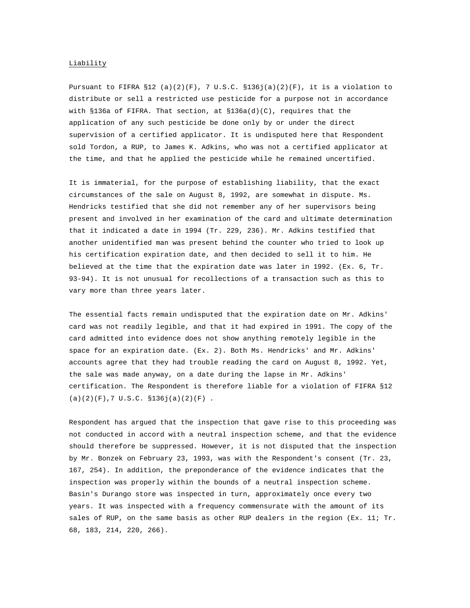### Liability

Pursuant to FIFRA  $$12$  (a)(2)(F), 7 U.S.C.  $$136j(a)(2)(F)$ , it is a violation to distribute or sell a restricted use pesticide for a purpose not in accordance with §136a of FIFRA. That section, at  $$136a(d)(C)$ , requires that the application of any such pesticide be done only by or under the direct supervision of a certified applicator. It is undisputed here that Respondent sold Tordon, a RUP, to James K. Adkins, who was not a certified applicator at the time, and that he applied the pesticide while he remained uncertified.

It is immaterial, for the purpose of establishing liability, that the exact circumstances of the sale on August 8, 1992, are somewhat in dispute. Ms. Hendricks testified that she did not remember any of her supervisors being present and involved in her examination of the card and ultimate determination that it indicated a date in 1994 (Tr. 229, 236). Mr. Adkins testified that another unidentified man was present behind the counter who tried to look up his certification expiration date, and then decided to sell it to him. He believed at the time that the expiration date was later in 1992. (Ex. 6, Tr. 93-94). It is not unusual for recollections of a transaction such as this to vary more than three years later.

The essential facts remain undisputed that the expiration date on Mr. Adkins' card was not readily legible, and that it had expired in 1991. The copy of the card admitted into evidence does not show anything remotely legible in the space for an expiration date. (Ex. 2). Both Ms. Hendricks' and Mr. Adkins' accounts agree that they had trouble reading the card on August 8, 1992. Yet, the sale was made anyway, on a date during the lapse in Mr. Adkins' certification. The Respondent is therefore liable for a violation of FIFRA §12 (a)(2)(F),7 U.S.C. §136j(a)(2)(F) *.*

Respondent has argued that the inspection that gave rise to this proceeding was not conducted in accord with a neutral inspection scheme, and that the evidence should therefore be suppressed. However, it is not disputed that the inspection by Mr. Bonzek on February 23, 1993, was with the Respondent's consent (Tr. 23, 167, 254). In addition, the preponderance of the evidence indicates that the inspection was properly within the bounds of a neutral inspection scheme. Basin's Durango store was inspected in turn, approximately once every two years. It was inspected with a frequency commensurate with the amount of its sales of RUP, on the same basis as other RUP dealers in the region (Ex. 11; Tr. 68, 183, 214, 220, 266).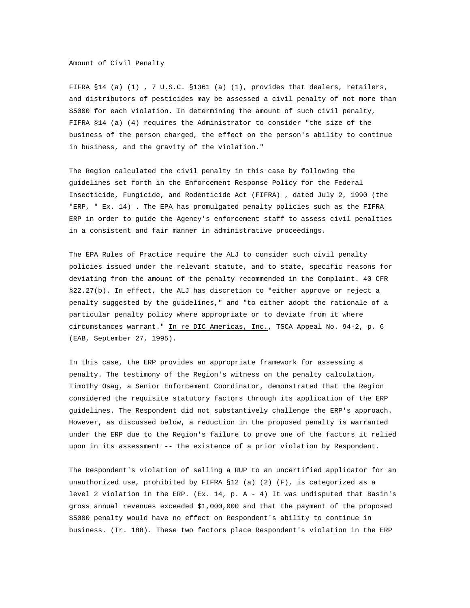### Amount of Civil Penalty

FIFRA §14 (a) (1) , 7 U.S.C. §1361 (a) (1), provides that dealers, retailers, and distributors of pesticides may be assessed a civil penalty of not more than \$5000 for each violation. In determining the amount of such civil penalty, FIFRA §14 (a) (4) requires the Administrator to consider "the size of the business of the person charged, the effect on the person's ability to continue in business, and the gravity of the violation."

The Region calculated the civil penalty in this case by following the guidelines set forth in the Enforcement Response Policy for the Federal Insecticide, Fungicide, and Rodenticide Act (FIFRA) , dated July 2, 1990 (the "ERP, " Ex. 14) . The EPA has promulgated penalty policies such as the FIFRA ERP in order to guide the Agency's enforcement staff to assess civil penalties in a consistent and fair manner in administrative proceedings.

The EPA Rules of Practice require the ALJ to consider such civil penalty policies issued under the relevant statute, and to state, specific reasons for deviating from the amount of the penalty recommended in the Complaint. 40 CFR §22.27(b). In effect, the ALJ has discretion to "either approve or reject a penalty suggested by the guidelines," and "to either adopt the rationale of a particular penalty policy where appropriate or to deviate from it where circumstances warrant." In re DIC Americas, Inc., TSCA Appeal No. 94-2, p. 6 (EAB, September 27, 1995).

In this case, the ERP provides an appropriate framework for assessing a penalty. The testimony of the Region's witness on the penalty calculation, Timothy Osag, a Senior Enforcement Coordinator, demonstrated that the Region considered the requisite statutory factors through its application of the ERP guidelines. The Respondent did not substantively challenge the ERP's approach. However, as discussed below, a reduction in the proposed penalty is warranted under the ERP due to the Region's failure to prove one of the factors it relied upon in its assessment -- the existence of a prior violation by Respondent.

The Respondent's violation of selling a RUP to an uncertified applicator for an unauthorized use, prohibited by FIFRA §12 (a) (2) (F), is categorized as a level 2 violation in the ERP. (Ex. 14, p. A - 4) It was undisputed that Basin's gross annual revenues exceeded \$1,000,000 and that the payment of the proposed \$5000 penalty would have no effect on Respondent's ability to continue in business. (Tr. 188). These two factors place Respondent's violation in the ERP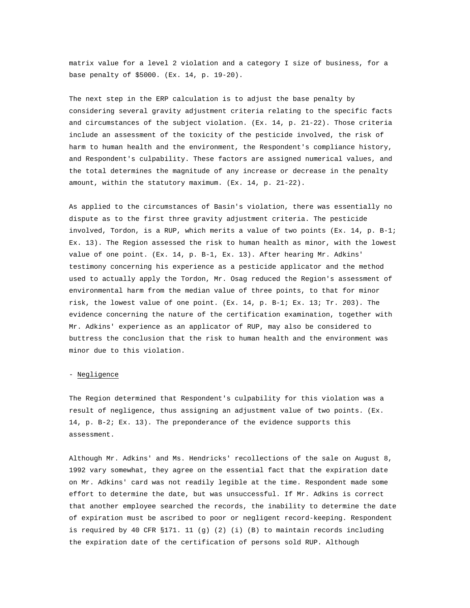matrix value for a level 2 violation and a category I size of business, for a base penalty of \$5000. (Ex. 14, p. 19-20).

The next step in the ERP calculation is to adjust the base penalty by considering several gravity adjustment criteria relating to the specific facts and circumstances of the subject violation. (Ex. 14, p. 21-22). Those criteria include an assessment of the toxicity of the pesticide involved, the risk of harm to human health and the environment, the Respondent's compliance history, and Respondent's culpability. These factors are assigned numerical values, and the total determines the magnitude of any increase or decrease in the penalty amount, within the statutory maximum. (Ex. 14, p. 21-22).

As applied to the circumstances of Basin's violation, there was essentially no dispute as to the first three gravity adjustment criteria. The pesticide involved, Tordon, is a RUP, which merits a value of two points (Ex. 14, p. B-1; Ex. 13). The Region assessed the risk to human health as minor, with the lowest value of one point. (Ex. 14, p. B-1, Ex. 13). After hearing Mr. Adkins' testimony concerning his experience as a pesticide applicator and the method used to actually apply the Tordon, Mr. Osag reduced the Region's assessment of environmental harm from the median value of three points, to that for minor risk, the lowest value of one point. (Ex. 14, p. B-1; Ex. 13; Tr. 203). The evidence concerning the nature of the certification examination, together with Mr. Adkins' experience as an applicator of RUP, may also be considered to buttress the conclusion that the risk to human health and the environment was minor due to this violation.

### - Negligence

The Region determined that Respondent's culpability for this violation was a result of negligence, thus assigning an adjustment value of two points. (Ex. 14, p. B-2; Ex. 13). The preponderance of the evidence supports this assessment.

Although Mr. Adkins' and Ms. Hendricks' recollections of the sale on August 8, 1992 vary somewhat, they agree on the essential fact that the expiration date on Mr. Adkins' card was not readily legible at the time. Respondent made some effort to determine the date, but was unsuccessful. If Mr. Adkins is correct that another employee searched the records, the inability to determine the date of expiration must be ascribed to poor or negligent record-keeping. Respondent is required by 40 CFR §171. 11 (g) (2) (i) (B) to maintain records including the expiration date of the certification of persons sold RUP. Although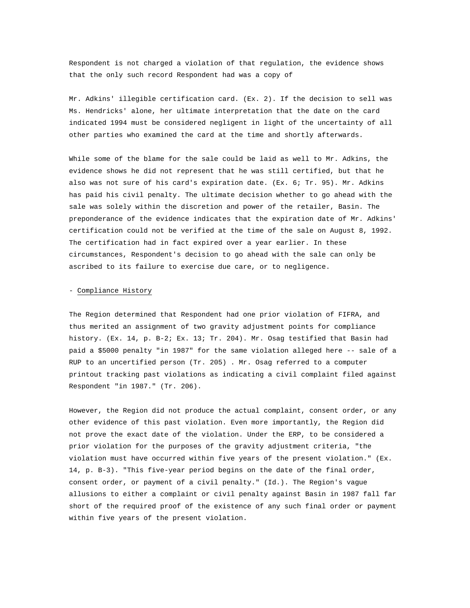Respondent is not charged a violation of that regulation, the evidence shows that the only such record Respondent had was a copy of

Mr. Adkins' illegible certification card. (Ex. 2). If the decision to sell was Ms. Hendricks' alone, her ultimate interpretation that the date on the card indicated 1994 must be considered negligent in light of the uncertainty of all other parties who examined the card at the time and shortly afterwards.

While some of the blame for the sale could be laid as well to Mr. Adkins, the evidence shows he did not represent that he was still certified, but that he also was not sure of his card's expiration date. (Ex. 6; Tr. 95). Mr. Adkins has paid his civil penalty. The ultimate decision whether to go ahead with the sale was solely within the discretion and power of the retailer, Basin. The preponderance of the evidence indicates that the expiration date of Mr. Adkins' certification could not be verified at the time of the sale on August 8, 1992. The certification had in fact expired over a year earlier. In these circumstances, Respondent's decision to go ahead with the sale can only be ascribed to its failure to exercise due care, or to negligence.

### - Compliance History

The Region determined that Respondent had one prior violation of FIFRA, and thus merited an assignment of two gravity adjustment points for compliance history. (Ex. 14, p. B-2; Ex. 13; Tr. 204). Mr. Osag testified that Basin had paid a \$5000 penalty "in 1987" for the same violation alleged here -- sale of a RUP to an uncertified person (Tr. 205) . Mr. Osag referred to a computer printout tracking past violations as indicating a civil complaint filed against Respondent "in 1987." (Tr. 206).

However, the Region did not produce the actual complaint, consent order, or any other evidence of this past violation. Even more importantly, the Region did not prove the exact date of the violation. Under the ERP, to be considered a prior violation for the purposes of the gravity adjustment criteria, "the violation must have occurred within five years of the present violation." (Ex. 14, p. B-3). "This five-year period begins on the date of the final order, consent order, or payment of a civil penalty." (Id.). The Region's vague allusions to either a complaint or civil penalty against Basin in 1987 fall far short of the required proof of the existence of any such final order or payment within five years of the present violation.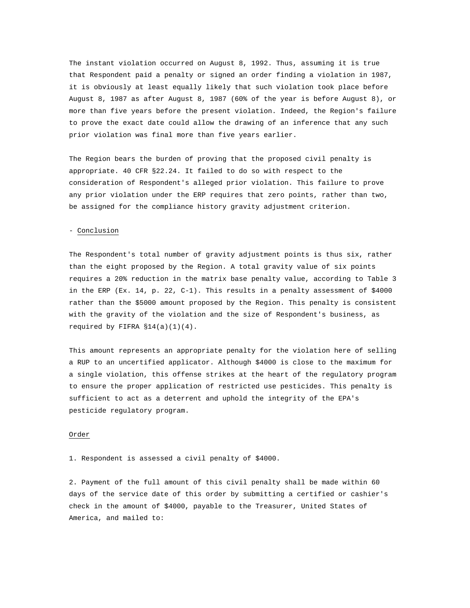The instant violation occurred on August 8, 1992. Thus, assuming it is true that Respondent paid a penalty or signed an order finding a violation in 1987, it is obviously at least equally likely that such violation took place before August 8, 1987 as after August 8, 1987 (60% of the year is before August 8), or more than five years before the present violation. Indeed, the Region's failure to prove the exact date could allow the drawing of an inference that any such prior violation was final more than five years earlier.

The Region bears the burden of proving that the proposed civil penalty is appropriate. 40 CFR §22.24. It failed to do so with respect to the consideration of Respondent's alleged prior violation. This failure to prove any prior violation under the ERP requires that zero points, rather than two, be assigned for the compliance history gravity adjustment criterion.

#### - Conclusion

The Respondent's total number of gravity adjustment points is thus six, rather than the eight proposed by the Region. A total gravity value of six points requires a 20% reduction in the matrix base penalty value, according to Table 3 in the ERP (Ex. 14, p. 22, C-1). This results in a penalty assessment of \$4000 rather than the \$5000 amount proposed by the Region. This penalty is consistent with the gravity of the violation and the size of Respondent's business, as required by FIFRA  $$14(a)(1)(4)$ .

This amount represents an appropriate penalty for the violation here of selling a RUP to an uncertified applicator. Although \$4000 is close to the maximum for a single violation, this offense strikes at the heart of the regulatory program to ensure the proper application of restricted use pesticides. This penalty is sufficient to act as a deterrent and uphold the integrity of the EPA's pesticide regulatory program.

### Order

1. Respondent is assessed a civil penalty of \$4000.

2. Payment of the full amount of this civil penalty shall be made within 60 days of the service date of this order by submitting a certified or cashier's check in the amount of \$4000, payable to the Treasurer, United States of America, and mailed to: